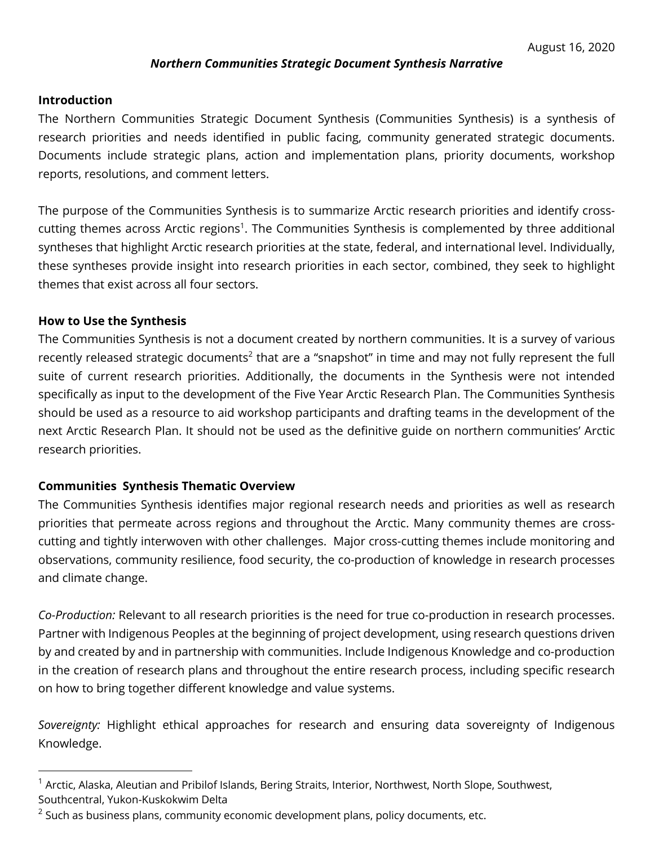# *Northern Communities Strategic Document Synthesis Narrative*

# **Introduction**

The Northern Communities Strategic Document Synthesis (Communities Synthesis) is a synthesis of research priorities and needs identified in public facing, community generated strategic documents. Documents include strategic plans, action and implementation plans, priority documents, workshop reports, resolutions, and comment letters.

The purpose of the Communities Synthesis is to summarize Arctic research priorities and identify crosscutting themes across Arctic regions<sup>1</sup>. The Communities Synthesis is complemented by three additional syntheses that highlight Arctic research priorities at the state, federal, and international level. Individually, these syntheses provide insight into research priorities in each sector, combined, they seek to highlight themes that exist across all four sectors.

# **How to Use the Synthesis**

The Communities Synthesis is not a document created by northern communities. It is a survey of various recently released strategic documents<sup>2</sup> that are a "snapshot" in time and may not fully represent the full suite of current research priorities. Additionally, the documents in the Synthesis were not intended specifically as input to the development of the Five Year Arctic Research Plan. The Communities Synthesis should be used as a resource to aid workshop participants and drafting teams in the development of the next Arctic Research Plan. It should not be used as the definitive guide on northern communities' Arctic research priorities.

# **Communities Synthesis Thematic Overview**

The Communities Synthesis identifies major regional research needs and priorities as well as research priorities that permeate across regions and throughout the Arctic. Many community themes are crosscutting and tightly interwoven with other challenges. Major cross-cutting themes include monitoring and observations, community resilience, food security, the co-production of knowledge in research processes and climate change.

*Co-Production:* Relevant to all research priorities is the need for true co-production in research processes. Partner with Indigenous Peoples at the beginning of project development, using research questions driven by and created by and in partnership with communities. Include Indigenous Knowledge and co-production in the creation of research plans and throughout the entire research process, including specific research on how to bring together different knowledge and value systems.

*Sovereignty:* Highlight ethical approaches for research and ensuring data sovereignty of Indigenous Knowledge.

<sup>&</sup>lt;sup>1</sup> Arctic, Alaska, Aleutian and Pribilof Islands, Bering Straits, Interior, Northwest, North Slope, Southwest, Southcentral, Yukon-Kuskokwim Delta

 $2$  Such as business plans, community economic development plans, policy documents, etc.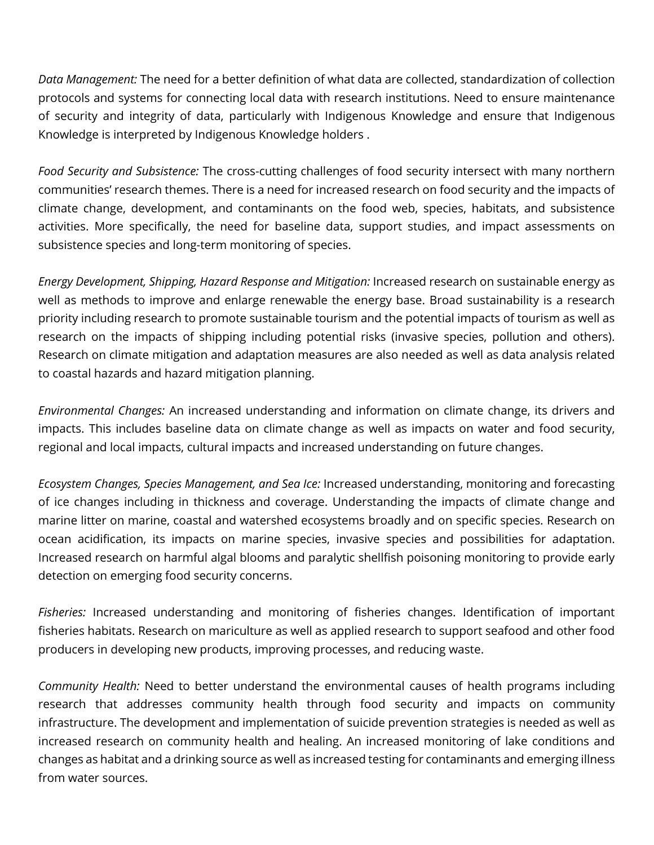*Data Management:* The need for a better definition of what data are collected, standardization of collection protocols and systems for connecting local data with research institutions. Need to ensure maintenance of security and integrity of data, particularly with Indigenous Knowledge and ensure that Indigenous Knowledge is interpreted by Indigenous Knowledge holders .

*Food Security and Subsistence:* The cross-cutting challenges of food security intersect with many northern communities' research themes. There is a need for increased research on food security and the impacts of climate change, development, and contaminants on the food web, species, habitats, and subsistence activities. More specifically, the need for baseline data, support studies, and impact assessments on subsistence species and long-term monitoring of species.

*Energy Development, Shipping, Hazard Response and Mitigation:* Increased research on sustainable energy as well as methods to improve and enlarge renewable the energy base. Broad sustainability is a research priority including research to promote sustainable tourism and the potential impacts of tourism as well as research on the impacts of shipping including potential risks (invasive species, pollution and others). Research on climate mitigation and adaptation measures are also needed as well as data analysis related to coastal hazards and hazard mitigation planning.

*Environmental Changes:* An increased understanding and information on climate change, its drivers and impacts. This includes baseline data on climate change as well as impacts on water and food security, regional and local impacts, cultural impacts and increased understanding on future changes.

*Ecosystem Changes, Species Management, and Sea Ice:* Increased understanding, monitoring and forecasting of ice changes including in thickness and coverage. Understanding the impacts of climate change and marine litter on marine, coastal and watershed ecosystems broadly and on specific species. Research on ocean acidification, its impacts on marine species, invasive species and possibilities for adaptation. Increased research on harmful algal blooms and paralytic shellfish poisoning monitoring to provide early detection on emerging food security concerns.

*Fisheries:* Increased understanding and monitoring of fisheries changes. Identification of important fisheries habitats. Research on mariculture as well as applied research to support seafood and other food producers in developing new products, improving processes, and reducing waste.

*Community Health:* Need to better understand the environmental causes of health programs including research that addresses community health through food security and impacts on community infrastructure. The development and implementation of suicide prevention strategies is needed as well as increased research on community health and healing. An increased monitoring of lake conditions and changes as habitat and a drinking source as well as increased testing for contaminants and emerging illness from water sources.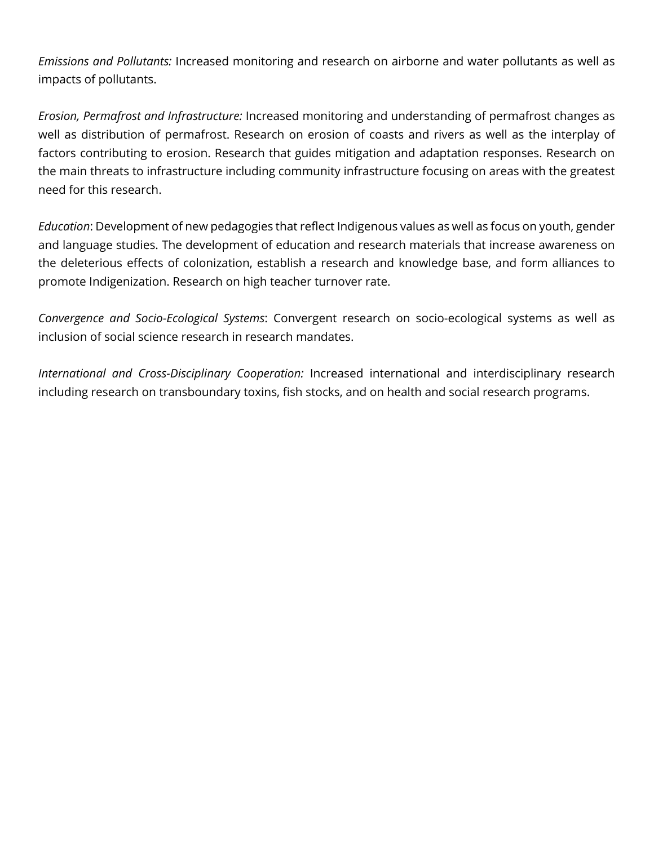*Emissions and Pollutants:* Increased monitoring and research on airborne and water pollutants as well as impacts of pollutants.

*Erosion, Permafrost and Infrastructure:* Increased monitoring and understanding of permafrost changes as well as distribution of permafrost. Research on erosion of coasts and rivers as well as the interplay of factors contributing to erosion. Research that guides mitigation and adaptation responses. Research on the main threats to infrastructure including community infrastructure focusing on areas with the greatest need for this research.

*Education*: Development of new pedagogies that reflect Indigenous values as well as focus on youth, gender and language studies. The development of education and research materials that increase awareness on the deleterious effects of colonization, establish a research and knowledge base, and form alliances to promote Indigenization. Research on high teacher turnover rate.

*Convergence and Socio-Ecological Systems*: Convergent research on socio-ecological systems as well as inclusion of social science research in research mandates.

*International and Cross-Disciplinary Cooperation:* Increased international and interdisciplinary research including research on transboundary toxins, fish stocks, and on health and social research programs.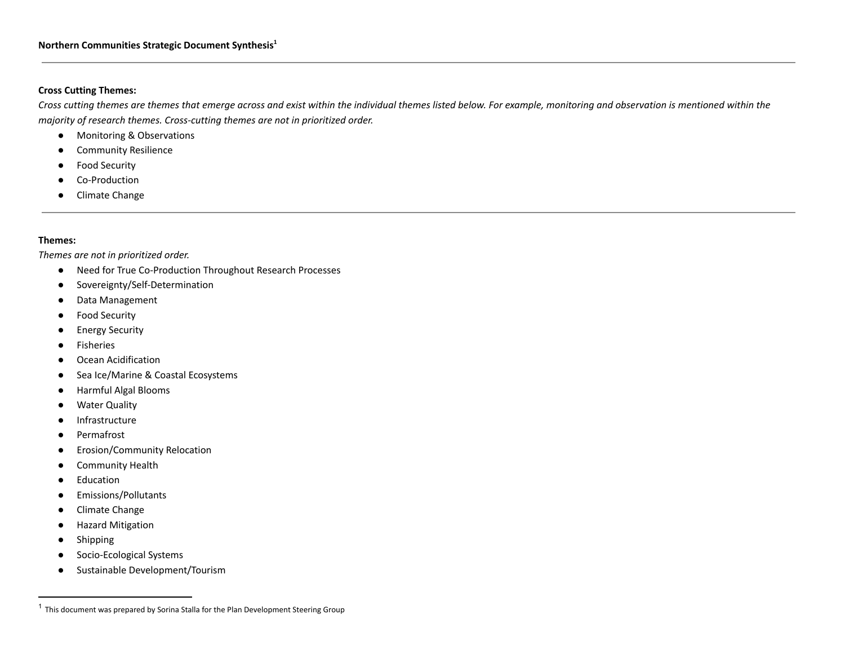## **Cross Cutting Themes:**

Cross cutting themes are themes that emerge across and exist within the individual themes listed below. For example, monitoring and observation is mentioned within the *majority of research themes. Cross-cutting themes are not in prioritized order.*

- Monitoring & Observations
- Community Resilience
- Food Security
- Co-Production
- Climate Change

## **Themes:**

*Themes are not in prioritized order.*

- Need for True Co-Production Throughout Research Processes
- Sovereignty/Self-Determination
- Data Management
- Food Security
- Energy Security
- Fisheries
- Ocean Acidification
- Sea Ice/Marine & Coastal Ecosystems
- Harmful Algal Blooms
- Water Quality
- Infrastructure
- Permafrost
- Erosion/Community Relocation
- Community Health
- Education
- Emissions/Pollutants
- Climate Change
- Hazard Mitigation
- Shipping
- Socio-Ecological Systems
- Sustainable Development/Tourism

 $1$  This document was prepared by Sorina Stalla for the Plan Development Steering Group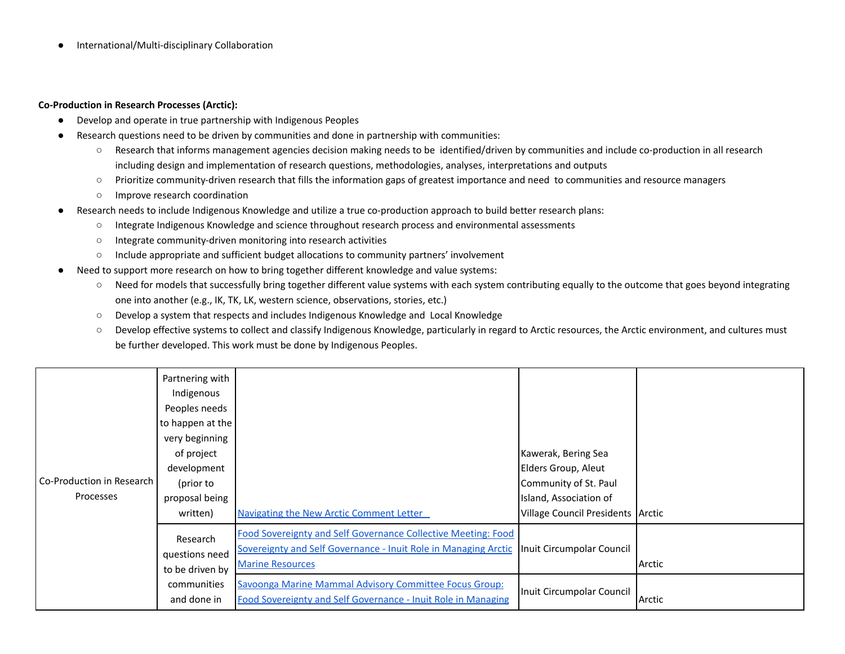● International/Multi-disciplinary Collaboration

#### **Co-Production in Research Processes (Arctic):**

- Develop and operate in true partnership with Indigenous Peoples
- Research questions need to be driven by communities and done in partnership with communities:
	- Research that informs management agencies decision making needs to be identified/driven by communities and include co-production in all research including design and implementation of research questions, methodologies, analyses, interpretations and outputs
	- Prioritize community-driven research that fills the information gaps of greatest importance and need to communities and resource managers
	- Improve research coordination
- Research needs to include Indigenous Knowledge and utilize a true co-production approach to build better research plans:
	- Integrate Indigenous Knowledge and science throughout research process and environmental assessments
	- Integrate community-driven monitoring into research activities
	- Include appropriate and sufficient budget allocations to community partners' involvement
- Need to support more research on how to bring together different knowledge and value systems:
	- Need for models that successfully bring together different value systems with each system contributing equally to the outcome that goes beyond integrating one into another (e.g., IK, TK, LK, western science, observations, stories, etc.)
	- Develop a system that respects and includes Indigenous Knowledge and Local Knowledge
	- Develop effective systems to collect and classify Indigenous Knowledge, particularly in regard to Arctic resources, the Arctic environment, and cultures must be further developed. This work must be done by Indigenous Peoples.

|                                        | Partnering with<br>Indigenous<br>Peoples needs<br>to happen at the |                                                                                                                                                             |                                                             |        |
|----------------------------------------|--------------------------------------------------------------------|-------------------------------------------------------------------------------------------------------------------------------------------------------------|-------------------------------------------------------------|--------|
|                                        | very beginning<br>of project<br>development                        |                                                                                                                                                             | Kawerak, Bering Sea<br>Elders Group, Aleut                  |        |
| Co-Production in Research<br>Processes | (prior to                                                          |                                                                                                                                                             | Community of St. Paul                                       |        |
|                                        | proposal being<br>written)                                         | <b>Navigating the New Arctic Comment Letter</b>                                                                                                             | Island, Association of<br>Village Council Presidents Arctic |        |
|                                        | Research<br>questions need<br>to be driven by                      | Food Sovereignty and Self Governance Collective Meeting: Food<br>Sovereignty and Self Governance - Inuit Role in Managing Arctic<br><b>Marine Resources</b> | Inuit Circumpolar Council                                   | Arctic |
|                                        | communities<br>and done in                                         | Savoonga Marine Mammal Advisory Committee Focus Group:<br>Food Sovereignty and Self Governance - Inuit Role in Managing                                     | Inuit Circumpolar Council                                   | Arctic |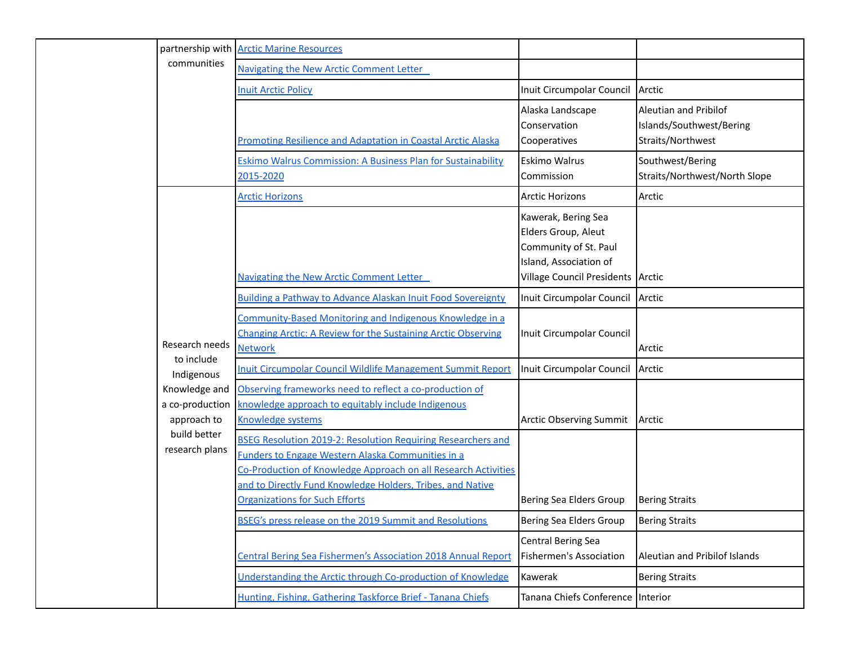|  |                                                 | partnership with   Arctic Marine Resources                                                                                                                                                                                                                                                               |                                                                                                                                    |                                                                        |
|--|-------------------------------------------------|----------------------------------------------------------------------------------------------------------------------------------------------------------------------------------------------------------------------------------------------------------------------------------------------------------|------------------------------------------------------------------------------------------------------------------------------------|------------------------------------------------------------------------|
|  | communities                                     | Navigating the New Arctic Comment Letter                                                                                                                                                                                                                                                                 |                                                                                                                                    |                                                                        |
|  |                                                 | <b>Inuit Arctic Policy</b>                                                                                                                                                                                                                                                                               | Inuit Circumpolar Council Arctic                                                                                                   |                                                                        |
|  |                                                 | <b>Promoting Resilience and Adaptation in Coastal Arctic Alaska</b>                                                                                                                                                                                                                                      | Alaska Landscape<br>Conservation<br>Cooperatives                                                                                   | Aleutian and Pribilof<br>Islands/Southwest/Bering<br>Straits/Northwest |
|  |                                                 | Eskimo Walrus Commission: A Business Plan for Sustainability<br>2015-2020                                                                                                                                                                                                                                | Eskimo Walrus<br>Commission                                                                                                        | Southwest/Bering<br>Straits/Northwest/North Slope                      |
|  |                                                 | <b>Arctic Horizons</b>                                                                                                                                                                                                                                                                                   | <b>Arctic Horizons</b>                                                                                                             | Arctic                                                                 |
|  |                                                 | Navigating the New Arctic Comment Letter                                                                                                                                                                                                                                                                 | Kawerak, Bering Sea<br>Elders Group, Aleut<br>Community of St. Paul<br>Island, Association of<br>Village Council Presidents Arctic |                                                                        |
|  | Research needs                                  | Building a Pathway to Advance Alaskan Inuit Food Sovereignty                                                                                                                                                                                                                                             | Inuit Circumpolar Council                                                                                                          | Arctic                                                                 |
|  |                                                 | Community-Based Monitoring and Indigenous Knowledge in a<br><b>Changing Arctic: A Review for the Sustaining Arctic Observing</b><br><b>Network</b>                                                                                                                                                       | Inuit Circumpolar Council                                                                                                          | Arctic                                                                 |
|  | to include<br>Indigenous                        | <b>Inuit Circumpolar Council Wildlife Management Summit Report</b>                                                                                                                                                                                                                                       | Inuit Circumpolar Council                                                                                                          | Arctic                                                                 |
|  | Knowledge and<br>a co-production<br>approach to | Observing frameworks need to reflect a co-production of<br>knowledge approach to equitably include Indigenous<br>Knowledge systems                                                                                                                                                                       | <b>Arctic Observing Summit</b>                                                                                                     | Arctic                                                                 |
|  | build better<br>research plans                  | <b>BSEG Resolution 2019-2: Resolution Requiring Researchers and</b><br><b>Funders to Engage Western Alaska Communities in a</b><br>Co-Production of Knowledge Approach on all Research Activities<br>and to Directly Fund Knowledge Holders, Tribes, and Native<br><b>Organizations for Such Efforts</b> | Bering Sea Elders Group                                                                                                            | <b>Bering Straits</b>                                                  |
|  |                                                 | <b>BSEG's press release on the 2019 Summit and Resolutions</b>                                                                                                                                                                                                                                           | Bering Sea Elders Group                                                                                                            | <b>Bering Straits</b>                                                  |
|  |                                                 | Central Bering Sea Fishermen's Association 2018 Annual Report                                                                                                                                                                                                                                            | <b>Central Bering Sea</b><br>Fishermen's Association                                                                               | Aleutian and Pribilof Islands                                          |
|  |                                                 | Understanding the Arctic through Co-production of Knowledge                                                                                                                                                                                                                                              | Kawerak                                                                                                                            | <b>Bering Straits</b>                                                  |
|  |                                                 | Hunting, Fishing, Gathering Taskforce Brief - Tanana Chiefs                                                                                                                                                                                                                                              | Tanana Chiefs Conference                                                                                                           | Interior                                                               |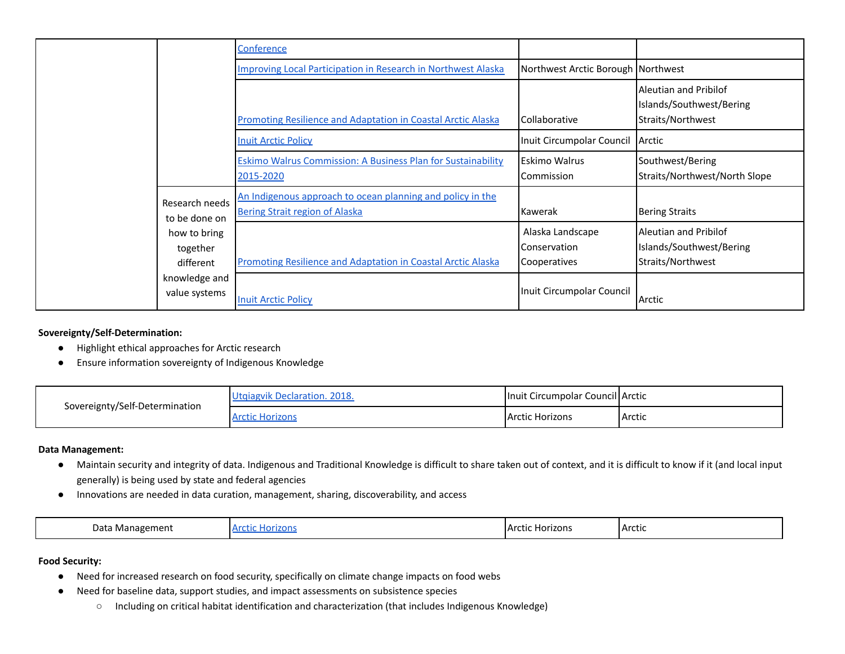|  |                                       | Conference                                                                                          |                                                         |                                                                        |
|--|---------------------------------------|-----------------------------------------------------------------------------------------------------|---------------------------------------------------------|------------------------------------------------------------------------|
|  |                                       | Improving Local Participation in Research in Northwest Alaska                                       | Northwest Arctic Borough Northwest                      |                                                                        |
|  |                                       | <b>Promoting Resilience and Adaptation in Coastal Arctic Alaska</b>                                 | <b>Collaborative</b>                                    | Aleutian and Pribilof<br>Islands/Southwest/Bering<br>Straits/Northwest |
|  |                                       | <b>Inuit Arctic Policy</b>                                                                          | Inuit Circumpolar Council                               | Arctic                                                                 |
|  |                                       | Eskimo Walrus Commission: A Business Plan for Sustainability<br>2015-2020                           | IEskimo Walrus<br><b>I</b> Commission                   | Southwest/Bering<br>Straits/Northwest/North Slope                      |
|  | Research needs<br>to be done on       | An Indigenous approach to ocean planning and policy in the<br><b>Bering Strait region of Alaska</b> | <b>Kawerak</b>                                          | <b>Bering Straits</b>                                                  |
|  | how to bring<br>together<br>different | <b>Promoting Resilience and Adaptation in Coastal Arctic Alaska</b>                                 | Alaska Landscape<br><b>Conservation</b><br>Cooperatives | Aleutian and Pribilof<br>Islands/Southwest/Bering<br>Straits/Northwest |
|  | knowledge and<br>value systems        | <b>Inuit Arctic Policy</b>                                                                          | Inuit Circumpolar Council                               | Arctic                                                                 |

## **Sovereignty/Self-Determination:**

- Highlight ethical approaches for Arctic research
- Ensure information sovereignty of Indigenous Knowledge

| Sovereignty/Self-Determination | vik Declaration, 2018. | Inuit Circumpolar Council Arctic |        |
|--------------------------------|------------------------|----------------------------------|--------|
|                                |                        | <b>Arctic Horizons</b>           | Arctic |

#### **Data Management:**

- Maintain security and integrity of data. Indigenous and Traditional Knowledge is difficult to share taken out of context, and it is difficult to know if it (and local input generally) is being used by state and federal agencies
- Innovations are needed in data curation, management, sharing, discoverability, and access

| רata<br>Management | lorizons<br>Δr<br>suu. | <b>Arctic</b><br>Horizons | <b>IArctic</b> |
|--------------------|------------------------|---------------------------|----------------|
|--------------------|------------------------|---------------------------|----------------|

## **Food Security:**

- Need for increased research on food security, specifically on climate change impacts on food webs
- Need for baseline data, support studies, and impact assessments on subsistence species
	- Including on critical habitat identification and characterization (that includes Indigenous Knowledge)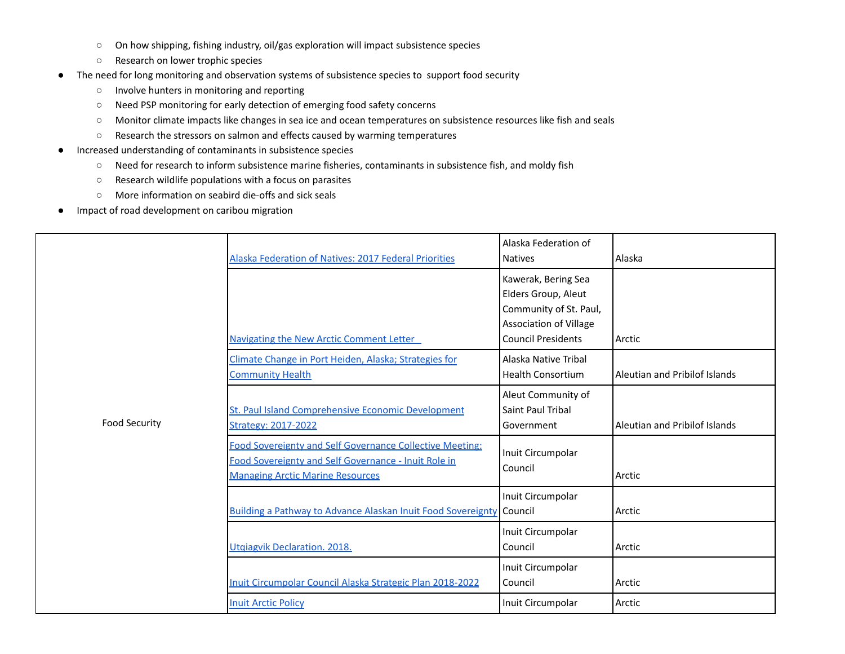- On how shipping, fishing industry, oil/gas exploration will impact subsistence species
- Research on lower trophic species
- The need for long monitoring and observation systems of subsistence species to support food security
	- Involve hunters in monitoring and reporting
	- Need PSP monitoring for early detection of emerging food safety concerns
	- Monitor climate impacts like changes in sea ice and ocean temperatures on subsistence resources like fish and seals
	- Research the stressors on salmon and effects caused by warming temperatures
- Increased understanding of contaminants in subsistence species
	- Need for research to inform subsistence marine fisheries, contaminants in subsistence fish, and moldy fish
	- Research wildlife populations with a focus on parasites
	- More information on seabird die-offs and sick seals
- Impact of road development on caribou migration

|                      | Alaska Federation of Natives: 2017 Federal Priorities                                                                                                       | Alaska Federation of<br><b>Natives</b>                                                                                             | Alaska                        |
|----------------------|-------------------------------------------------------------------------------------------------------------------------------------------------------------|------------------------------------------------------------------------------------------------------------------------------------|-------------------------------|
|                      | <b>Navigating the New Arctic Comment Letter</b>                                                                                                             | Kawerak, Bering Sea<br>Elders Group, Aleut<br>Community of St. Paul,<br><b>Association of Village</b><br><b>Council Presidents</b> | Arctic                        |
|                      | Climate Change in Port Heiden, Alaska; Strategies for<br><b>Community Health</b>                                                                            | Alaska Native Tribal<br><b>Health Consortium</b>                                                                                   | Aleutian and Pribilof Islands |
| <b>Food Security</b> | St. Paul Island Comprehensive Economic Development<br><b>Strategy: 2017-2022</b>                                                                            | Aleut Community of<br>Saint Paul Tribal<br>Government                                                                              | Aleutian and Pribilof Islands |
|                      | Food Sovereignty and Self Governance Collective Meeting:<br>Food Sovereignty and Self Governance - Inuit Role in<br><b>Managing Arctic Marine Resources</b> | Inuit Circumpolar<br>Council                                                                                                       | Arctic                        |
|                      | Building a Pathway to Advance Alaskan Inuit Food Sovereignty                                                                                                | Inuit Circumpolar<br>Council                                                                                                       | Arctic                        |
|                      | Utgiagvik Declaration. 2018.                                                                                                                                | Inuit Circumpolar<br>Council                                                                                                       | Arctic                        |
|                      | Inuit Circumpolar Council Alaska Strategic Plan 2018-2022                                                                                                   | Inuit Circumpolar<br>Council                                                                                                       | Arctic                        |
|                      | <b>Inuit Arctic Policy</b>                                                                                                                                  | Inuit Circumpolar                                                                                                                  | Arctic                        |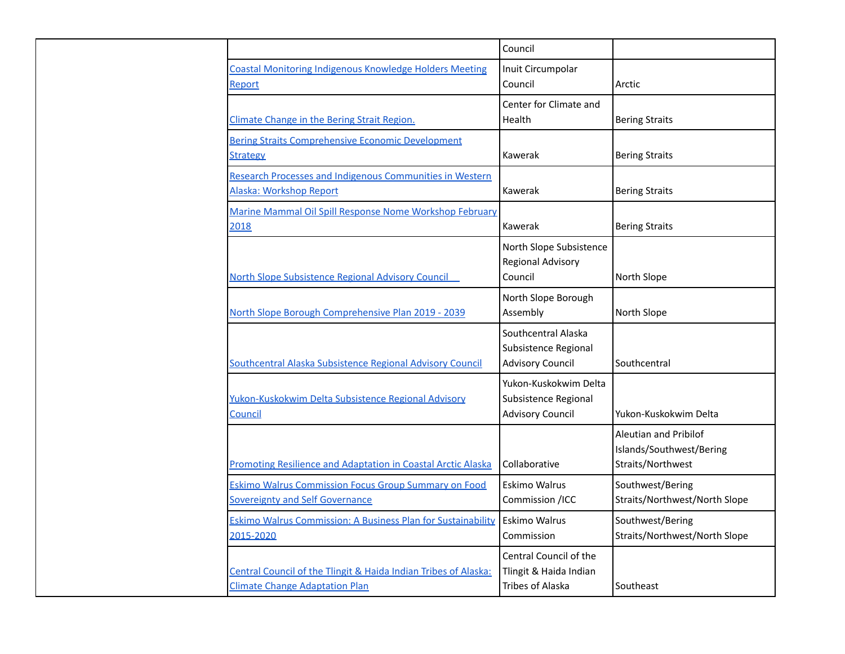|                                                                                                          | Council                                                                     |                                                                               |
|----------------------------------------------------------------------------------------------------------|-----------------------------------------------------------------------------|-------------------------------------------------------------------------------|
| <b>Coastal Monitoring Indigenous Knowledge Holders Meeting</b><br>Report                                 | Inuit Circumpolar<br>Council                                                | Arctic                                                                        |
| Climate Change in the Bering Strait Region.                                                              | Center for Climate and<br>Health                                            | <b>Bering Straits</b>                                                         |
| <b>Bering Straits Comprehensive Economic Development</b><br><b>Strategy</b>                              | Kawerak                                                                     | <b>Bering Straits</b>                                                         |
| <b>Research Processes and Indigenous Communities in Western</b><br>Alaska: Workshop Report               | Kawerak                                                                     | <b>Bering Straits</b>                                                         |
| Marine Mammal Oil Spill Response Nome Workshop February<br>2018                                          | Kawerak                                                                     | <b>Bering Straits</b>                                                         |
| North Slope Subsistence Regional Advisory Council                                                        | North Slope Subsistence<br>Regional Advisory<br>Council                     | North Slope                                                                   |
| North Slope Borough Comprehensive Plan 2019 - 2039                                                       | North Slope Borough<br>Assembly                                             | North Slope                                                                   |
| Southcentral Alaska Subsistence Regional Advisory Council                                                | Southcentral Alaska<br>Subsistence Regional<br><b>Advisory Council</b>      | Southcentral                                                                  |
| Yukon-Kuskokwim Delta Subsistence Regional Advisory<br><b>Council</b>                                    | Yukon-Kuskokwim Delta<br>Subsistence Regional<br><b>Advisory Council</b>    | Yukon-Kuskokwim Delta                                                         |
| Promoting Resilience and Adaptation in Coastal Arctic Alaska                                             | Collaborative                                                               | <b>Aleutian and Pribilof</b><br>Islands/Southwest/Bering<br>Straits/Northwest |
| <b>Eskimo Walrus Commission Focus Group Summary on Food</b><br><b>Sovereignty and Self Governance</b>    | Eskimo Walrus<br>Commission /ICC                                            | Southwest/Bering<br>Straits/Northwest/North Slope                             |
| <b>Eskimo Walrus Commission: A Business Plan for Sustainability</b><br>2015-2020                         | <b>Eskimo Walrus</b><br>Commission                                          | Southwest/Bering<br>Straits/Northwest/North Slope                             |
| Central Council of the Tlingit & Haida Indian Tribes of Alaska:<br><b>Climate Change Adaptation Plan</b> | Central Council of the<br>Tlingit & Haida Indian<br><b>Tribes of Alaska</b> | Southeast                                                                     |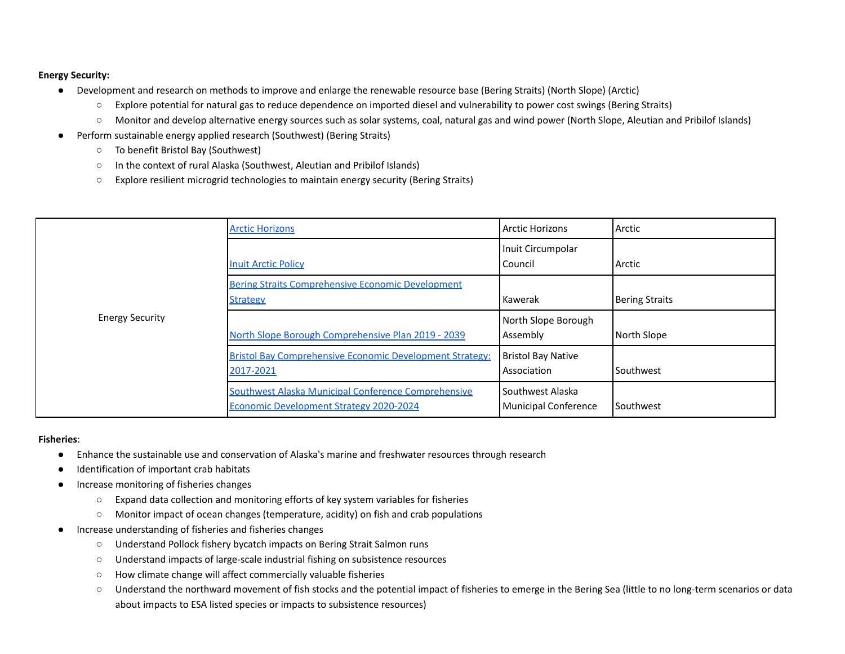## **Energy Security:**

- Development and research on methods to improve and enlarge the renewable resource base (Bering Straits) (North Slope) (Arctic)
	- Explore potential for natural gas to reduce dependence on imported diesel and vulnerability to power cost swings (Bering Straits)
	- Monitor and develop alternative energy sources such as solar systems, coal, natural gas and wind power (North Slope, Aleutian and Pribilof Islands)
- Perform sustainable energy applied research (Southwest) (Bering Straits)
	- To benefit Bristol Bay (Southwest)
	- In the context of rural Alaska (Southwest, Aleutian and Pribilof Islands)
	- Explore resilient microgrid technologies to maintain energy security (Bering Straits)

|                        | <b>Arctic Horizons</b>                                                                         | Arctic Horizons                                 | Arctic                |
|------------------------|------------------------------------------------------------------------------------------------|-------------------------------------------------|-----------------------|
|                        | <b>Inuit Arctic Policy</b>                                                                     | Inuit Circumpolar<br>l Council                  | Arctic                |
|                        | <b>Bering Straits Comprehensive Economic Development</b><br><b>Strategy</b>                    | l Kawerak                                       | <b>Bering Straits</b> |
| <b>Energy Security</b> | North Slope Borough Comprehensive Plan 2019 - 2039                                             | North Slope Borough<br>Assembly                 | North Slope           |
|                        | <b>Bristol Bay Comprehensive Economic Development Strategy:</b><br>2017-2021                   | <b>Bristol Bay Native</b><br>Association        | Southwest             |
|                        | Southwest Alaska Municipal Conference Comprehensive<br>Economic Development Strategy 2020-2024 | Southwest Alaska<br><b>Municipal Conference</b> | <b>Southwest</b>      |

#### **Fisheries**:

- Enhance the sustainable use and conservation of Alaska's marine and freshwater resources through research
- Identification of important crab habitats
- Increase monitoring of fisheries changes
	- Expand data collection and monitoring efforts of key system variables for fisheries
	- Monitor impact of ocean changes (temperature, acidity) on fish and crab populations
- Increase understanding of fisheries and fisheries changes
	- Understand Pollock fishery bycatch impacts on Bering Strait Salmon runs
	- Understand impacts of large-scale industrial fishing on subsistence resources
	- How climate change will affect commercially valuable fisheries
	- Understand the northward movement of fish stocks and the potential impact of fisheries to emerge in the Bering Sea (little to no long-term scenarios or data about impacts to ESA listed species or impacts to subsistence resources)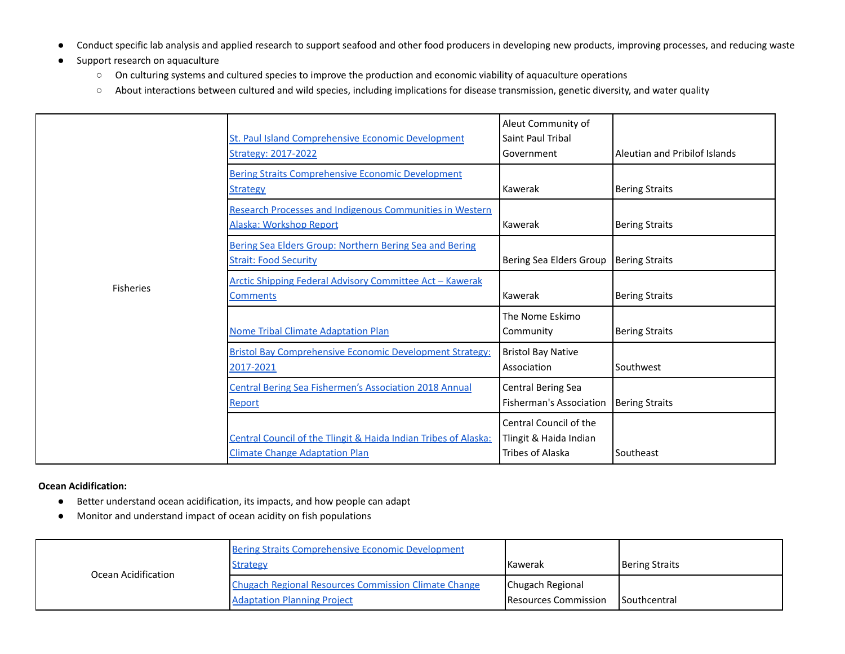- Conduct specific lab analysis and applied research to support seafood and other food producers in developing new products, improving processes, and reducing waste
- Support research on aquaculture
	- On culturing systems and cultured species to improve the production and economic viability of aquaculture operations
	- About interactions between cultured and wild species, including implications for disease transmission, genetic diversity, and water quality

|                  | St. Paul Island Comprehensive Economic Development<br><b>Strategy: 2017-2022</b>                         | Aleut Community of<br>Saint Paul Tribal<br>Government                | Aleutian and Pribilof Islands |
|------------------|----------------------------------------------------------------------------------------------------------|----------------------------------------------------------------------|-------------------------------|
|                  | <b>Bering Straits Comprehensive Economic Development</b><br><b>Strategy</b>                              | Kawerak                                                              | <b>Bering Straits</b>         |
|                  | <b>Research Processes and Indigenous Communities in Western</b><br>Alaska: Workshop Report               | Kawerak                                                              | <b>Bering Straits</b>         |
|                  | Bering Sea Elders Group: Northern Bering Sea and Bering<br><b>Strait: Food Security</b>                  | Bering Sea Elders Group                                              | <b>Bering Straits</b>         |
| <b>Fisheries</b> | Arctic Shipping Federal Advisory Committee Act - Kawerak<br><b>Comments</b>                              | Kawerak                                                              | <b>Bering Straits</b>         |
|                  | <b>Nome Tribal Climate Adaptation Plan</b>                                                               | The Nome Eskimo<br>Community                                         | <b>Bering Straits</b>         |
|                  | Bristol Bay Comprehensive Economic Development Strategy:<br>2017-2021                                    | <b>Bristol Bay Native</b><br>Association                             | Southwest                     |
|                  | <b>Central Bering Sea Fishermen's Association 2018 Annual</b><br>Report                                  | <b>Central Bering Sea</b><br><b>Fisherman's Association</b>          | <b>Bering Straits</b>         |
|                  | Central Council of the Tlingit & Haida Indian Tribes of Alaska:<br><b>Climate Change Adaptation Plan</b> | Central Council of the<br>Tlingit & Haida Indian<br>Tribes of Alaska | Southeast                     |

## **Ocean Acidification:**

- Better understand ocean acidification, its impacts, and how people can adapt
- Monitor and understand impact of ocean acidity on fish populations

| Ocean Acidification | Bering Straits Comprehensive Economic Development<br><b>Strategy</b>                              | <b>I</b> Kawerak                                | <b>Bering Straits</b> |
|---------------------|---------------------------------------------------------------------------------------------------|-------------------------------------------------|-----------------------|
|                     | <b>Chugach Regional Resources Commission Climate Change</b><br><b>Adaptation Planning Project</b> | Chugach Regional<br><b>Resources Commission</b> | <b>I</b> Southcentral |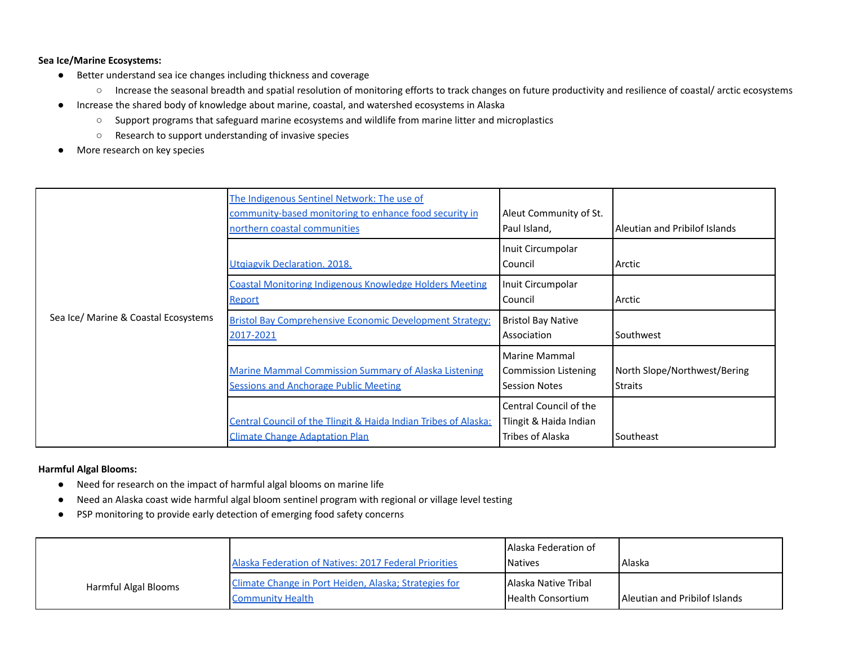## **Sea Ice/Marine Ecosystems:**

- Better understand sea ice changes including thickness and coverage
	- Increase the seasonal breadth and spatial resolution of monitoring efforts to track changes on future productivity and resilience of coastal/ arctic ecosystems
- Increase the shared body of knowledge about marine, coastal, and watershed ecosystems in Alaska
	- Support programs that safeguard marine ecosystems and wildlife from marine litter and microplastics
	- Research to support understanding of invasive species
- More research on key species

| Sea Ice/ Marine & Coastal Ecosystems | The Indigenous Sentinel Network: The use of<br>community-based monitoring to enhance food security in<br>northern coastal communities | Aleut Community of St.<br>Paul Island,                                      | Aleutian and Pribilof Islands                  |
|--------------------------------------|---------------------------------------------------------------------------------------------------------------------------------------|-----------------------------------------------------------------------------|------------------------------------------------|
|                                      | Utgiagvik Declaration. 2018.                                                                                                          | Inuit Circumpolar<br>Council                                                | Arctic                                         |
|                                      | <b>Coastal Monitoring Indigenous Knowledge Holders Meeting</b><br><b>Report</b>                                                       | Inuit Circumpolar<br>Council                                                | Arctic                                         |
|                                      | <b>Bristol Bay Comprehensive Economic Development Strategy:</b><br>2017-2021                                                          | <b>Bristol Bay Native</b><br>Association                                    | Southwest                                      |
|                                      | <b>Marine Mammal Commission Summary of Alaska Listening</b><br><b>Sessions and Anchorage Public Meeting</b>                           | <b>Marine Mammal</b><br><b>Commission Listening</b><br><b>Session Notes</b> | North Slope/Northwest/Bering<br><b>Straits</b> |
|                                      | <b>Central Council of the Tlingit &amp; Haida Indian Tribes of Alaska:</b><br><b>Climate Change Adaptation Plan</b>                   | Central Council of the<br>Tlingit & Haida Indian<br>Tribes of Alaska        | Southeast                                      |

## **Harmful Algal Blooms:**

- Need for research on the impact of harmful algal blooms on marine life
- Need an Alaska coast wide harmful algal bloom sentinel program with regional or village level testing
- PSP monitoring to provide early detection of emerging food safety concerns

|                      | Alaska Federation of Natives: 2017 Federal Priorities                            | <b>JAJaska Federation of</b><br><b>Natives</b>    | l Alaska                      |
|----------------------|----------------------------------------------------------------------------------|---------------------------------------------------|-------------------------------|
| Harmful Algal Blooms | Climate Change in Port Heiden, Alaska; Strategies for<br><b>Community Health</b> | LAlaska Native Tribal<br><b>Health Consortium</b> | Aleutian and Pribilof Islands |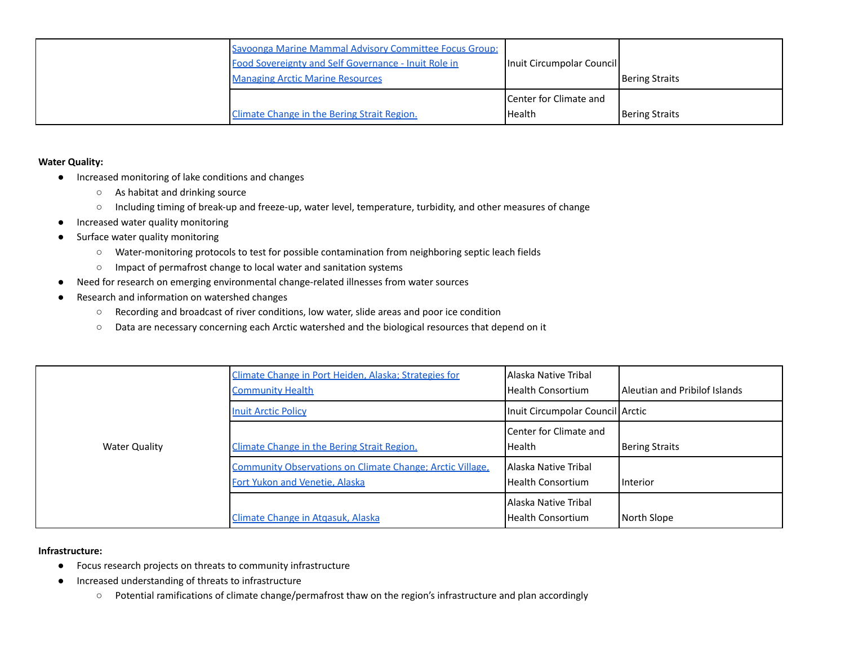| Savoonga Marine Mammal Advisory Committee Focus Group:<br>Food Sovereignty and Self Governance - Inuit Role in<br><b>Managing Arctic Marine Resources</b> | Inuit Circumpolar Council                        | Bering Straits |
|-----------------------------------------------------------------------------------------------------------------------------------------------------------|--------------------------------------------------|----------------|
| Climate Change in the Bering Strait Region.                                                                                                               | <b>I</b> Center for Climate and<br><b>Health</b> | Bering Straits |

## **Water Quality:**

- Increased monitoring of lake conditions and changes
	- As habitat and drinking source
	- Including timing of break-up and freeze-up, water level, temperature, turbidity, and other measures of change
- Increased water quality monitoring
- Surface water quality monitoring
	- Water-monitoring protocols to test for possible contamination from neighboring septic leach fields
	- Impact of permafrost change to local water and sanitation systems
- Need for research on emerging environmental change-related illnesses from water sources
- Research and information on watershed changes
	- Recording and broadcast of river conditions, low water, slide areas and poor ice condition
	- Data are necessary concerning each Arctic watershed and the biological resources that depend on it

|                      | Climate Change in Port Heiden, Alaska; Strategies for<br><b>Community Health</b>                   | LAlaska Native Tribal<br>l Health Consortium | Aleutian and Pribilof Islands |
|----------------------|----------------------------------------------------------------------------------------------------|----------------------------------------------|-------------------------------|
|                      | <b>Inuit Arctic Policy</b>                                                                         | Inuit Circumpolar Council Arctic             |                               |
| <b>Water Quality</b> | Climate Change in the Bering Strait Region.                                                        | l Center for Climate and<br><b>Health</b>    | <b>Bering Straits</b>         |
|                      | <b>Community Observations on Climate Change; Arctic Village,</b><br>Fort Yukon and Venetie, Alaska | LAlaska Native Tribal<br>Health Consortium   | <b>I</b> Interior             |
|                      | Climate Change in Atgasuk, Alaska                                                                  | l Alaska Native Tribal<br>Health Consortium  | North Slope                   |

## **Infrastructure:**

- Focus research projects on threats to community infrastructure
- Increased understanding of threats to infrastructure
	- Potential ramifications of climate change/permafrost thaw on the region's infrastructure and plan accordingly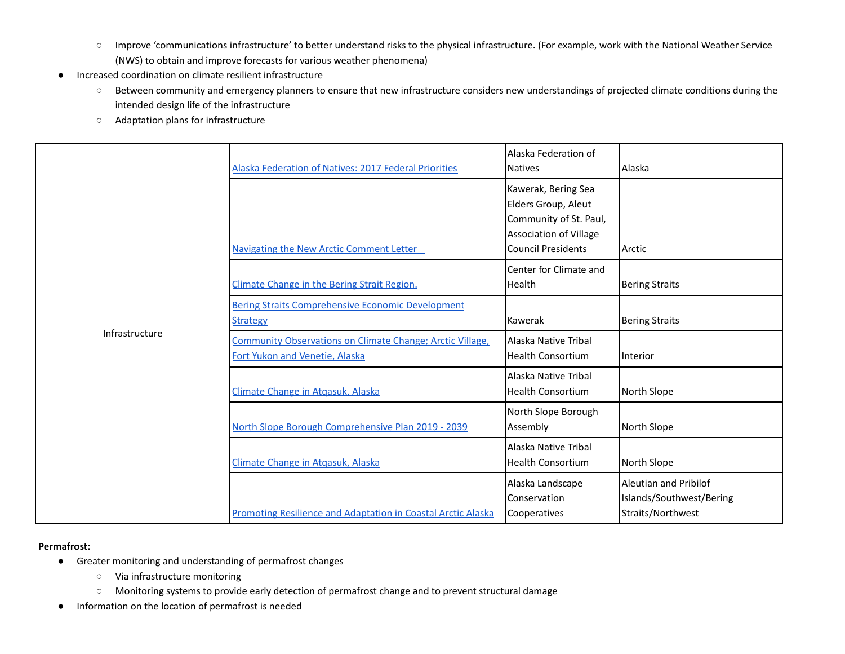- Improve 'communications infrastructure' to better understand risks to the physical infrastructure. (For example, work with the National Weather Service (NWS) to obtain and improve forecasts for various weather phenomena)
- Increased coordination on climate resilient infrastructure
	- Between community and emergency planners to ensure that new infrastructure considers new understandings of projected climate conditions during the intended design life of the infrastructure
	- Adaptation plans for infrastructure

|                | Alaska Federation of Natives: 2017 Federal Priorities                                              | Alaska Federation of<br><b>Natives</b>                                                                                             | Alaska                                                                 |
|----------------|----------------------------------------------------------------------------------------------------|------------------------------------------------------------------------------------------------------------------------------------|------------------------------------------------------------------------|
|                | Navigating the New Arctic Comment Letter                                                           | Kawerak, Bering Sea<br>Elders Group, Aleut<br>Community of St. Paul,<br><b>Association of Village</b><br><b>Council Presidents</b> | Arctic                                                                 |
|                | Climate Change in the Bering Strait Region.                                                        | Center for Climate and<br>Health                                                                                                   | <b>Bering Straits</b>                                                  |
|                | <b>Bering Straits Comprehensive Economic Development</b><br><b>Strategy</b>                        | Kawerak                                                                                                                            | <b>Bering Straits</b>                                                  |
| Infrastructure | <b>Community Observations on Climate Change; Arctic Village,</b><br>Fort Yukon and Venetie, Alaska | Alaska Native Tribal<br><b>Health Consortium</b>                                                                                   | Interior                                                               |
|                | Climate Change in Atgasuk, Alaska                                                                  | Alaska Native Tribal<br><b>Health Consortium</b>                                                                                   | North Slope                                                            |
|                | North Slope Borough Comprehensive Plan 2019 - 2039                                                 | North Slope Borough<br>Assembly                                                                                                    | North Slope                                                            |
|                | Climate Change in Atgasuk, Alaska                                                                  | Alaska Native Tribal<br><b>Health Consortium</b>                                                                                   | North Slope                                                            |
|                | Promoting Resilience and Adaptation in Coastal Arctic Alaska                                       | Alaska Landscape<br>Conservation<br>Cooperatives                                                                                   | Aleutian and Pribilof<br>Islands/Southwest/Bering<br>Straits/Northwest |

#### **Permafrost:**

- Greater monitoring and understanding of permafrost changes
	- Via infrastructure monitoring
	- Monitoring systems to provide early detection of permafrost change and to prevent structural damage
- Information on the location of permafrost is needed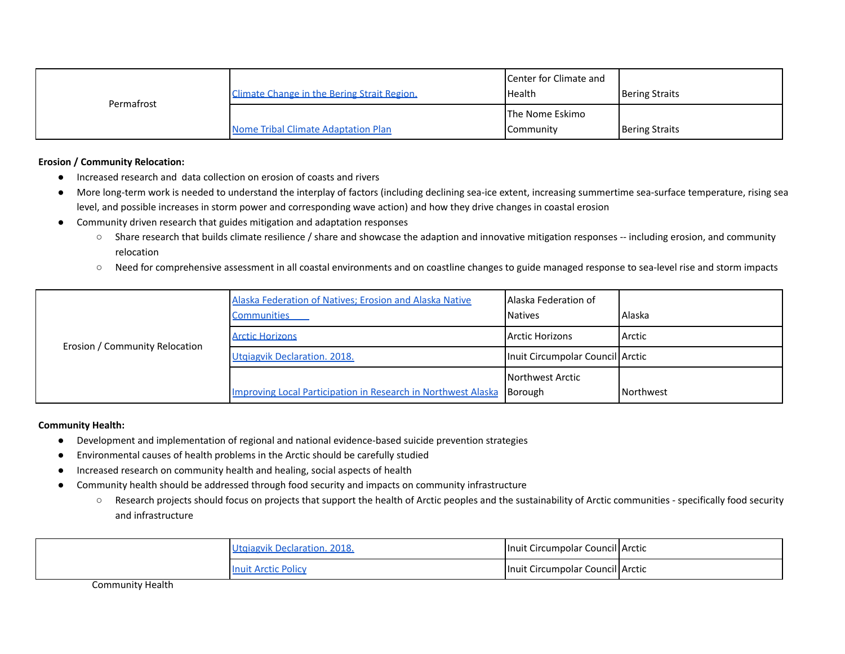| Permafrost | <b>Climate Change in the Bering Strait Region.</b> | <b>I</b> Center for Climate and<br>l Health | Bering Straits |
|------------|----------------------------------------------------|---------------------------------------------|----------------|
|            | Nome Tribal Climate Adaptation Plan                | The Nome Eskimo<br><b>Community</b>         | Bering Straits |

**Erosion / Community Relocation:**

- Increased research and data collection on erosion of coasts and rivers
- More long-term work is needed to understand the interplay of factors (including declining sea-ice extent, increasing summertime sea-surface temperature, rising sea level, and possible increases in storm power and corresponding wave action) and how they drive changes in coastal erosion
- Community driven research that guides mitigation and adaptation responses
	- Share research that builds climate resilience / share and showcase the adaption and innovative mitigation responses -- including erosion, and community relocation
	- Need for comprehensive assessment in all coastal environments and on coastline changes to guide managed response to sea-level rise and storm impacts

| Erosion / Community Relocation | Alaska Federation of Natives; Erosion and Alaska Native<br><b>Communities</b> | <b>JAJaska Federation of</b><br><b>Natives</b> | Alaska    |
|--------------------------------|-------------------------------------------------------------------------------|------------------------------------------------|-----------|
|                                | <b>Arctic Horizons</b>                                                        | Arctic Horizons                                | Arctic    |
|                                | Utgiagvik Declaration. 2018.                                                  | Inuit Circumpolar Council Arctic               |           |
|                                |                                                                               | <b>Northwest Arctic</b>                        |           |
|                                | <b>Improving Local Participation in Research in Northwest Alaska</b>          | Borough                                        | Northwest |

## **Community Health:**

- Development and implementation of regional and national evidence-based suicide prevention strategies
- Environmental causes of health problems in the Arctic should be carefully studied
- Increased research on community health and healing, social aspects of health
- Community health should be addressed through food security and impacts on community infrastructure
	- Research projects should focus on projects that support the health of Arctic peoples and the sustainability of Arctic communities specifically food security and infrastructure

| Utgiagvik Declaration, 2018. | Inuit Circumpolar Council Arctic |  |
|------------------------------|----------------------------------|--|
| <b>Inuit Arctic Policy</b>   | Inuit Circumpolar Council Arctic |  |

Community Health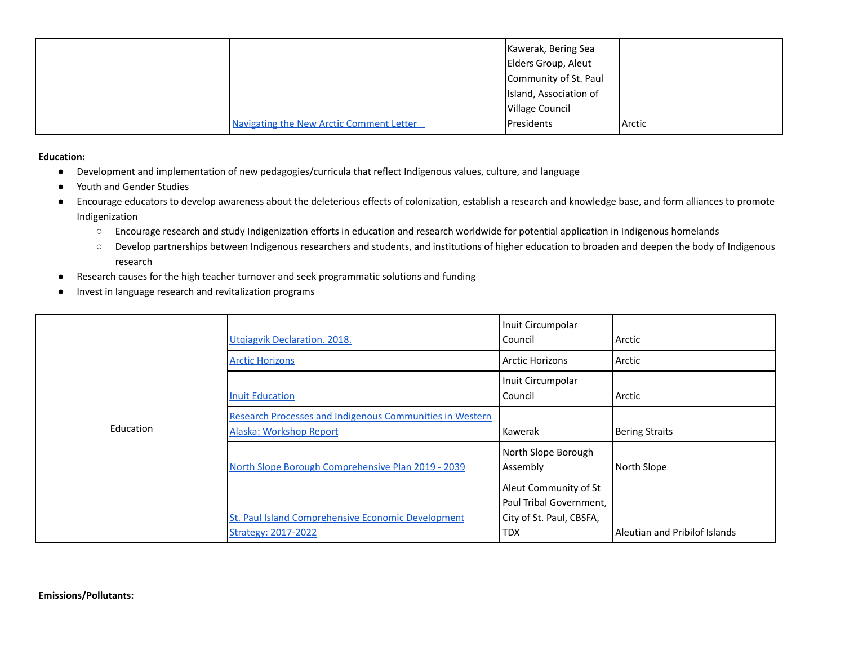|                                          | Kawerak, Bering Sea    |        |
|------------------------------------------|------------------------|--------|
|                                          | Elders Group, Aleut    |        |
|                                          | Community of St. Paul  |        |
|                                          | Island, Association of |        |
|                                          | <b>Village Council</b> |        |
| Navigating the New Arctic Comment Letter | <b>I</b> Presidents    | Arctic |

**Education:**

- Development and implementation of new pedagogies/curricula that reflect Indigenous values, culture, and language
- Youth and Gender Studies
- Encourage educators to develop awareness about the deleterious effects of colonization, establish a research and knowledge base, and form alliances to promote Indigenization
	- Encourage research and study Indigenization efforts in education and research worldwide for potential application in Indigenous homelands
	- Develop partnerships between Indigenous researchers and students, and institutions of higher education to broaden and deepen the body of Indigenous research
- Research causes for the high teacher turnover and seek programmatic solutions and funding
- Invest in language research and revitalization programs

|           | <b>Utgiagvik Declaration. 2018.</b>                                                        | Inuit Circumpolar<br>Council                                                 | Arctic                        |
|-----------|--------------------------------------------------------------------------------------------|------------------------------------------------------------------------------|-------------------------------|
|           | <b>Arctic Horizons</b>                                                                     | <b>Arctic Horizons</b>                                                       | l Arctic                      |
|           | <b>Inuit Education</b>                                                                     | Inuit Circumpolar<br>Council                                                 | Arctic                        |
| Education | <b>Research Processes and Indigenous Communities in Western</b><br>Alaska: Workshop Report | Kawerak                                                                      | Bering Straits                |
|           | North Slope Borough Comprehensive Plan 2019 - 2039                                         | North Slope Borough<br>Assembly                                              | North Slope                   |
|           | St. Paul Island Comprehensive Economic Development                                         | Aleut Community of St<br>Paul Tribal Government,<br>City of St. Paul, CBSFA, |                               |
|           | <b>Strategy: 2017-2022</b>                                                                 | <b>TDX</b>                                                                   | Aleutian and Pribilof Islands |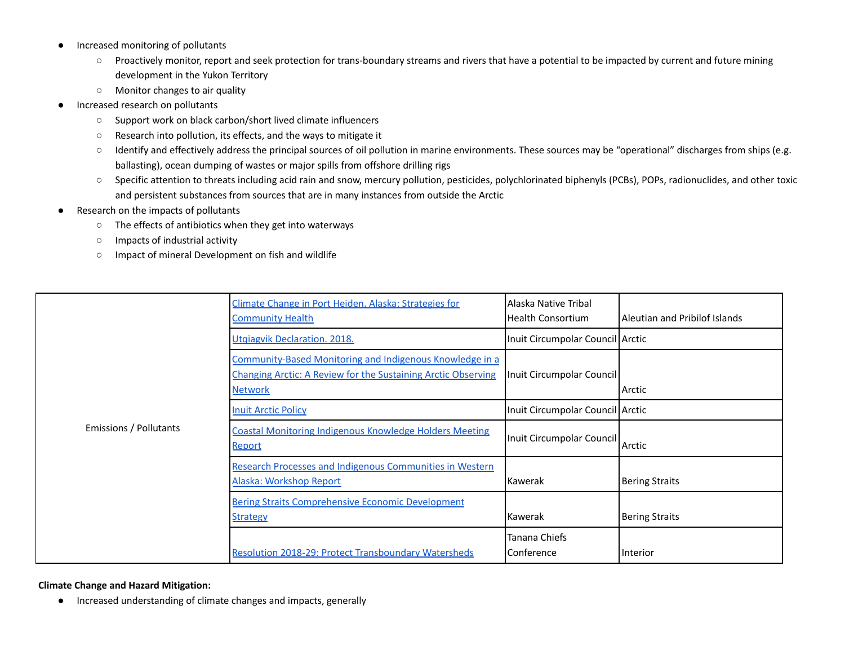- Increased monitoring of pollutants
	- Proactively monitor, report and seek protection for trans-boundary streams and rivers that have a potential to be impacted by current and future mining development in the Yukon Territory
	- Monitor changes to air quality
- Increased research on pollutants
	- Support work on black carbon/short lived climate influencers
	- Research into pollution, its effects, and the ways to mitigate it
	- Identify and effectively address the principal sources of oil pollution in marine environments. These sources may be "operational" discharges from ships (e.g. ballasting), ocean dumping of wastes or major spills from offshore drilling rigs
	- Specific attention to threats including acid rain and snow, mercury pollution, pesticides, polychlorinated biphenyls (PCBs), POPs, radionuclides, and other toxic and persistent substances from sources that are in many instances from outside the Arctic
- Research on the impacts of pollutants
	- The effects of antibiotics when they get into waterways
	- Impacts of industrial activity
	- Impact of mineral Development on fish and wildlife

|                        | Climate Change in Port Heiden, Alaska; Strategies for<br><b>Community Health</b>                                                                   | Alaska Native Tribal<br><b>Health Consortium</b> | l Aleutian and Pribilof Islands |
|------------------------|----------------------------------------------------------------------------------------------------------------------------------------------------|--------------------------------------------------|---------------------------------|
|                        | Utgiagvik Declaration. 2018.                                                                                                                       | Inuit Circumpolar Council Arctic                 |                                 |
|                        | Community-Based Monitoring and Indigenous Knowledge in a<br><b>Changing Arctic: A Review for the Sustaining Arctic Observing</b><br><b>Network</b> | Inuit Circumpolar Council                        | Arctic                          |
|                        | <b>Inuit Arctic Policy</b>                                                                                                                         | Inuit Circumpolar Council Arctic                 |                                 |
| Emissions / Pollutants | <b>Coastal Monitoring Indigenous Knowledge Holders Meeting</b><br><b>Report</b>                                                                    | Inuit Circumpolar Council                        | Arctic                          |
|                        | Research Processes and Indigenous Communities in Western<br>Alaska: Workshop Report                                                                | Kawerak                                          | <b>Bering Straits</b>           |
|                        | <b>Bering Straits Comprehensive Economic Development</b><br><b>Strategy</b>                                                                        | Kawerak                                          | <b>Bering Straits</b>           |
|                        | <b>Resolution 2018-29: Protect Transboundary Watersheds</b>                                                                                        | Tanana Chiefs<br>Conference                      | Interior                        |

**Climate Change and Hazard Mitigation:**

● Increased understanding of climate changes and impacts, generally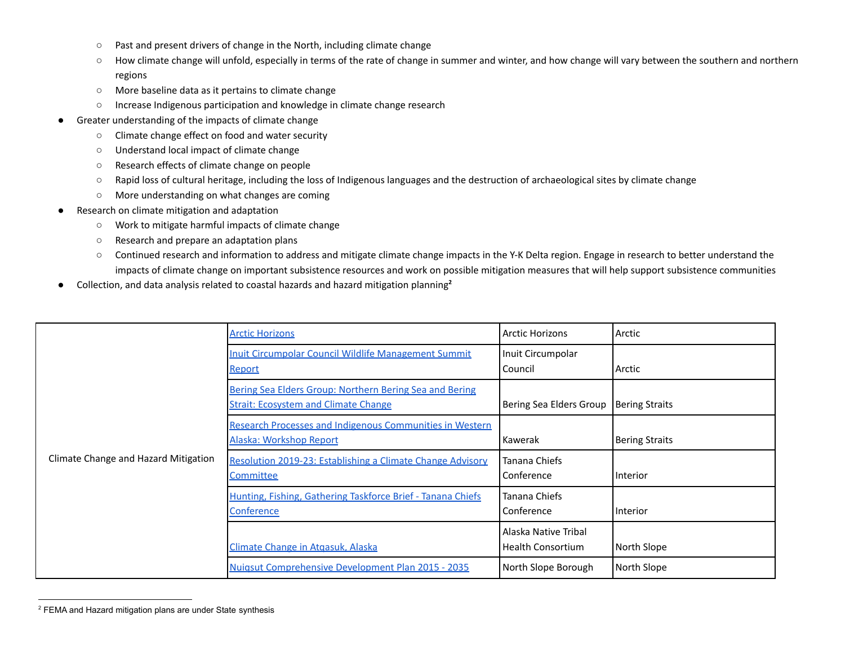- Past and present drivers of change in the North, including climate change
- How climate change will unfold, especially in terms of the rate of change in summer and winter, and how change will vary between the southern and northern regions
- More baseline data as it pertains to climate change
- Increase Indigenous participation and knowledge in climate change research
- Greater understanding of the impacts of climate change
	- Climate change effect on food and water security
	- Understand local impact of climate change
	- Research effects of climate change on people
	- Rapid loss of cultural heritage, including the loss of Indigenous languages and the destruction of archaeological sites by climate change
	- More understanding on what changes are coming
- Research on climate mitigation and adaptation
	- Work to mitigate harmful impacts of climate change
	- Research and prepare an adaptation plans
	- Continued research and information to address and mitigate climate change impacts in the Y-K Delta region. Engage in research to better understand the impacts of climate change on important subsistence resources and work on possible mitigation measures that will help support subsistence communities
- Collection, and data analysis related to coastal hazards and hazard mitigation planning **2**

|                                      | <b>Arctic Horizons</b>                                                                                 | <b>Arctic Horizons</b>                           | Arctic                |
|--------------------------------------|--------------------------------------------------------------------------------------------------------|--------------------------------------------------|-----------------------|
|                                      | Inuit Circumpolar Council Wildlife Management Summit<br><b>Report</b>                                  | Inuit Circumpolar<br>Council                     | Arctic                |
|                                      | Bering Sea Elders Group: Northern Bering Sea and Bering<br><b>Strait: Ecosystem and Climate Change</b> | Bering Sea Elders Group                          | <b>Bering Straits</b> |
|                                      | <b>Research Processes and Indigenous Communities in Western</b><br>Alaska: Workshop Report             | Kawerak                                          | <b>Bering Straits</b> |
| Climate Change and Hazard Mitigation | Resolution 2019-23: Establishing a Climate Change Advisory<br><b>Committee</b>                         | Tanana Chiefs<br>Conference                      | <b>Interior</b>       |
|                                      | Hunting, Fishing, Gathering Taskforce Brief - Tanana Chiefs<br>Conference                              | Tanana Chiefs<br>Conference                      | <b>Interior</b>       |
|                                      | Climate Change in Atgasuk, Alaska                                                                      | Alaska Native Tribal<br><b>Health Consortium</b> | North Slope           |
|                                      | <b>Nuigsut Comprehensive Development Plan 2015 - 2035</b>                                              | North Slope Borough                              | North Slope           |

<sup>2</sup> FEMA and Hazard mitigation plans are under State synthesis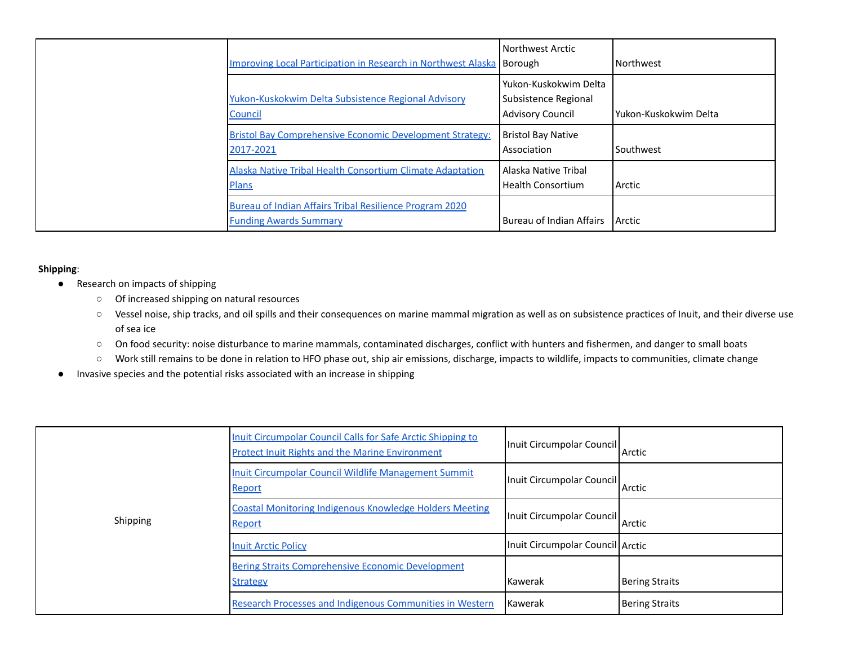| Improving Local Participation in Research in Northwest Alaska Borough                    | Northwest Arctic                                                           | Northwest               |
|------------------------------------------------------------------------------------------|----------------------------------------------------------------------------|-------------------------|
| Yukon-Kuskokwim Delta Subsistence Regional Advisory<br>Council                           | l Yukon-Kuskokwim Delta<br>Subsistence Regional<br><b>Advisory Council</b> | l Yukon-Kuskokwim Delta |
| <b>Bristol Bay Comprehensive Economic Development Strategy:</b><br>2017-2021             | <b>Bristol Bay Native</b><br>Association                                   | Southwest               |
| <b>Alaska Native Tribal Health Consortium Climate Adaptation</b><br><b>Plans</b>         | l Alaska Native Tribal<br><b>Health Consortium</b>                         | Arctic                  |
| Bureau of Indian Affairs Tribal Resilience Program 2020<br><b>Funding Awards Summary</b> | Bureau of Indian Affairs                                                   | Arctic                  |

## **Shipping**:

- Research on impacts of shipping
	- Of increased shipping on natural resources
	- Vessel noise, ship tracks, and oil spills and their consequences on marine mammal migration as well as on subsistence practices of Inuit, and their diverse use of sea ice
	- **○** On food security: noise disturbance to marine mammals, contaminated discharges, conflict with hunters and fishermen, and danger to small boats
	- Work still remains to be done in relation to HFO phase out, ship air emissions, discharge, impacts to wildlife, impacts to communities, climate change
- Invasive species and the potential risks associated with an increase in shipping

|          | Inuit Circumpolar Council Calls for Safe Arctic Shipping to<br><b>Protect Inuit Rights and the Marine Environment</b> | Inuit Circumpolar Council        | Arctic                |
|----------|-----------------------------------------------------------------------------------------------------------------------|----------------------------------|-----------------------|
|          | Inuit Circumpolar Council Wildlife Management Summit<br><b>Report</b>                                                 | Inuit Circumpolar Council        | Arctic                |
| Shipping | <b>Coastal Monitoring Indigenous Knowledge Holders Meeting</b><br><b>Report</b>                                       | Inuit Circumpolar Council Arctic |                       |
|          | <b>Inuit Arctic Policy</b>                                                                                            | Inuit Circumpolar Council Arctic |                       |
|          | <b>Bering Straits Comprehensive Economic Development</b><br><b>Strategy</b>                                           | Kawerak                          | Bering Straits        |
|          | <b>Research Processes and Indigenous Communities in Western</b>                                                       | <b>Kawerak</b>                   | <b>Bering Straits</b> |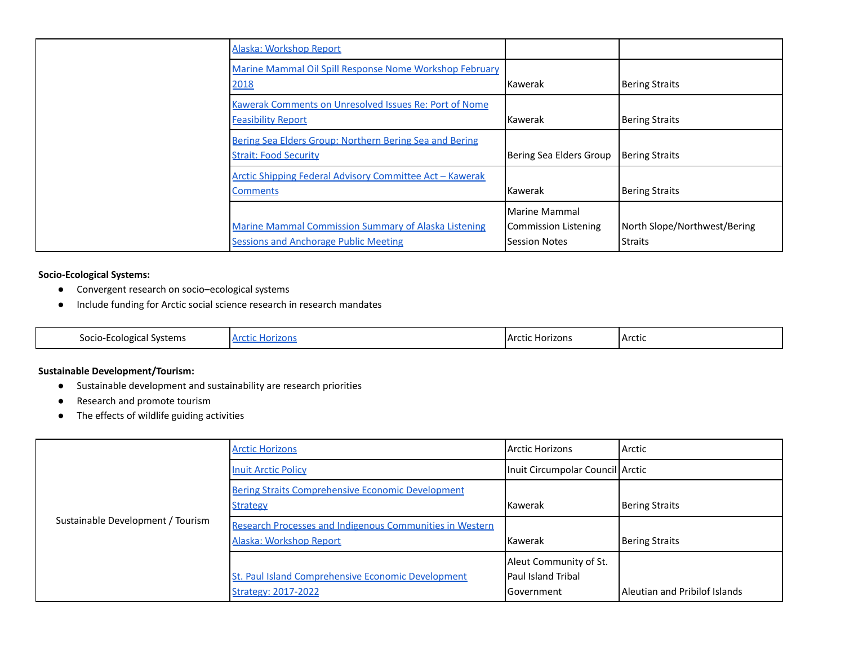| Alaska: Workshop Report                                                                                     |                                                               |                                         |
|-------------------------------------------------------------------------------------------------------------|---------------------------------------------------------------|-----------------------------------------|
| Marine Mammal Oil Spill Response Nome Workshop February<br>2018                                             | Kawerak                                                       | Bering Straits                          |
| Kawerak Comments on Unresolved Issues Re: Port of Nome<br><b>Feasibility Report</b>                         | Kawerak                                                       | <b>Bering Straits</b>                   |
| Bering Sea Elders Group: Northern Bering Sea and Bering<br><b>Strait: Food Security</b>                     | Bering Sea Elders Group                                       | <b>Bering Straits</b>                   |
| Arctic Shipping Federal Advisory Committee Act - Kawerak<br><b>Comments</b>                                 | <b>Kawerak</b>                                                | Bering Straits                          |
| <b>Marine Mammal Commission Summary of Alaska Listening</b><br><b>Sessions and Anchorage Public Meeting</b> | Marine Mammal<br>Commission Listening<br><b>Session Notes</b> | North Slope/Northwest/Bering<br>Straits |

## **Socio-Ecological Systems:**

- Convergent research on socio–ecological systems
- Include funding for Arctic social science research in research mandates

| Socio<br>`Svstems<br>_cologica1<br>. ila' | $\mathbf{A}$<br>$-10-1$<br>וש<br>w<br>. | Horizons<br>i Arr<br>. . TIC- | Arctic |
|-------------------------------------------|-----------------------------------------|-------------------------------|--------|
|-------------------------------------------|-----------------------------------------|-------------------------------|--------|

## **Sustainable Development/Tourism:**

- Sustainable development and sustainability are research priorities
- Research and promote tourism
- The effects of wildlife guiding activities

| Sustainable Development / Tourism | <b>Arctic Horizons</b>                                                                     | Arctic Horizons                                                     | Arctic                        |
|-----------------------------------|--------------------------------------------------------------------------------------------|---------------------------------------------------------------------|-------------------------------|
|                                   | <b>Inuit Arctic Policy</b>                                                                 | Inuit Circumpolar Council Arctic                                    |                               |
|                                   | <b>Bering Straits Comprehensive Economic Development</b><br><b>Strategy</b>                | l Kawerak                                                           | <b>Bering Straits</b>         |
|                                   | <b>Research Processes and Indigenous Communities in Western</b><br>Alaska: Workshop Report | <b>Kawerak</b>                                                      | <b>Bering Straits</b>         |
|                                   | St. Paul Island Comprehensive Economic Development<br><b>Strategy: 2017-2022</b>           | Aleut Community of St.<br><b>Paul Island Tribal</b><br>l Government | Aleutian and Pribilof Islands |